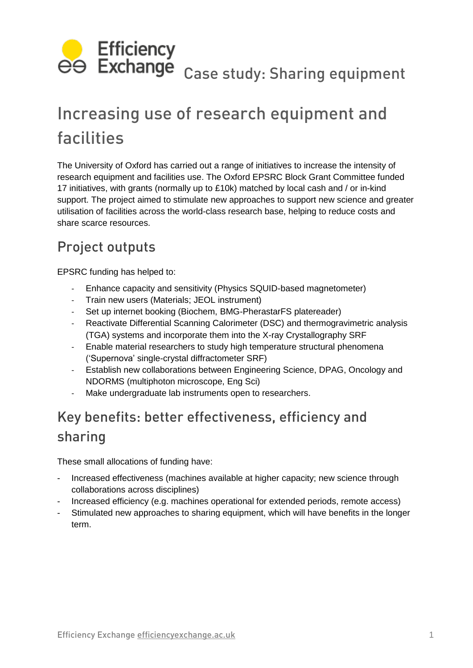

# Increasing use of research equipment and facilities

The University of Oxford has carried out a range of initiatives to increase the intensity of research equipment and facilities use. The Oxford EPSRC Block Grant Committee funded 17 initiatives, with grants (normally up to £10k) matched by local cash and / or in-kind support. The project aimed to stimulate new approaches to support new science and greater utilisation of facilities across the world-class research base, helping to reduce costs and share scarce resources.

## Project outputs

EPSRC funding has helped to:

- Enhance capacity and sensitivity (Physics SQUID-based magnetometer)
- Train new users (Materials; JEOL instrument)
- Set up internet booking (Biochem, [BMG-PherastarFS platereader\)](file:///C:/Documents%20and%20Settings/Gls/Application%20Data/Microsoft/Word/•%09http:/www.bioch.ox.ac.uk/aspsite/index.asp%3fsectionid=equipmentbooking)
- Reactivate Differential Scanning Calorimeter (DSC) and thermogravimetric analysis (TGA) systems and incorporate them into the X-ray Crystallography SRF
- Enable material researchers to study high temperature structural phenomena ('Supernova' single-crystal diffractometer SRF)
- Establish new collaborations between Engineering Science, DPAG, Oncology and NDORMS (multiphoton microscope, Eng Sci)
- Make undergraduate lab instruments open to researchers.

## Key benefits: better effectiveness, efficiency and sharing

These small allocations of funding have:

- Increased effectiveness (machines available at higher capacity; new science through collaborations across disciplines)
- Increased efficiency (e.g. machines operational for extended periods, remote access)
- Stimulated new approaches to sharing equipment, which will have benefits in the longer term.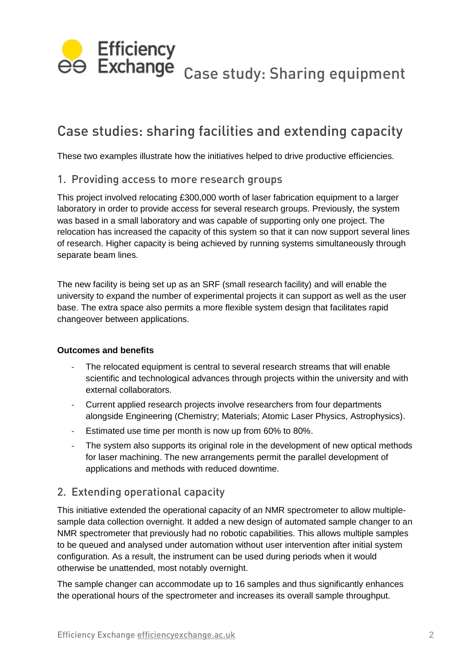

## Case studies: sharing facilities and extending capacity

These two examples illustrate how the initiatives helped to drive productive efficiencies.

#### 1. Providing access to more research groups

This project involved relocating £300,000 worth of laser fabrication equipment to a larger laboratory in order to provide access for several research groups. Previously, the system was based in a small laboratory and was capable of supporting only one project. The relocation has increased the capacity of this system so that it can now support several lines of research. Higher capacity is being achieved by running systems simultaneously through separate beam lines.

The new facility is being set up as an SRF (small research facility) and will enable the university to expand the number of experimental projects it can support as well as the user base. The extra space also permits a more flexible system design that facilitates rapid changeover between applications.

#### **Outcomes and benefits**

- The relocated equipment is central to several research streams that will enable scientific and technological advances through projects within the university and with external collaborators.
- Current applied research projects involve researchers from four departments alongside Engineering (Chemistry; Materials; Atomic Laser Physics, Astrophysics).
- Estimated use time per month is now up from 60% to 80%.
- The system also supports its original role in the development of new optical methods for laser machining. The new arrangements permit the parallel development of applications and methods with reduced downtime.

#### 2. Extending operational capacity

This initiative extended the operational capacity of an NMR spectrometer to allow multiplesample data collection overnight. It added a new design of automated sample changer to an NMR spectrometer that previously had no robotic capabilities. This allows multiple samples to be queued and analysed under automation without user intervention after initial system configuration. As a result, the instrument can be used during periods when it would otherwise be unattended, most notably overnight.

The sample changer can accommodate up to 16 samples and thus significantly enhances the operational hours of the spectrometer and increases its overall sample throughput.